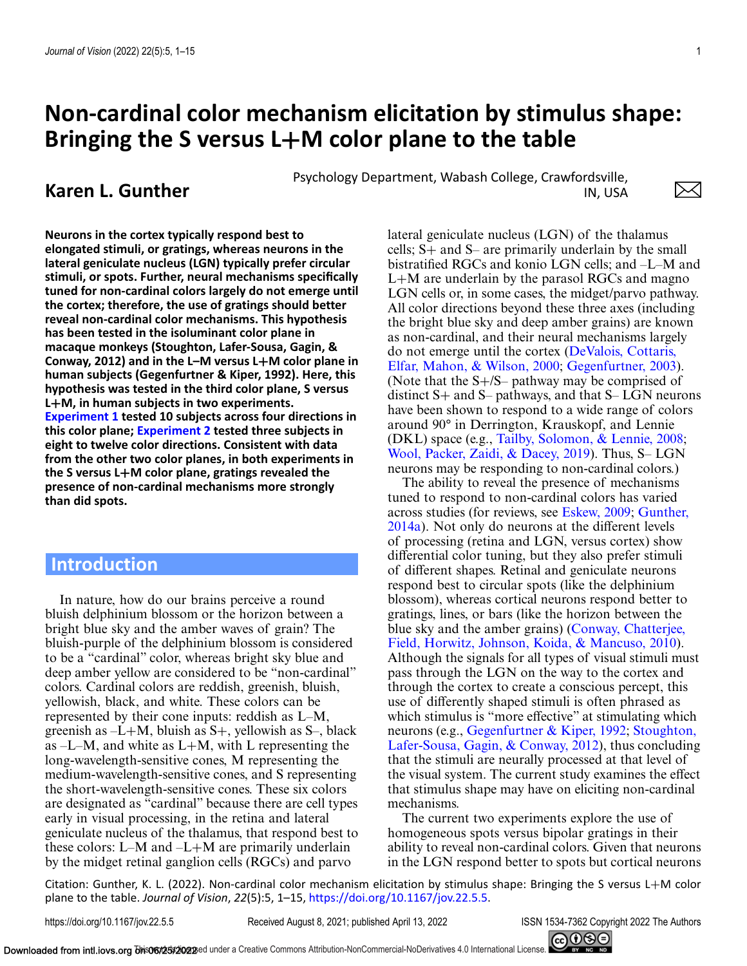# **Non-cardinal color mechanism elicitation by stimulus shape: Bringing the S versus L+M color plane to the table**

**Karen L. Gunther** Psychology Department, Wabash College, Crawfordsville,<br>IN. USA IN, USA

**Neurons in the cortex typically respond best to elongated stimuli, or gratings, whereas neurons in the lateral geniculate nucleus (LGN) typically prefer circular stimuli, or spots. Further, neural mechanisms specifically tuned for non-cardinal colors largely do not emerge until the cortex; therefore, the use of gratings should better reveal non-cardinal color mechanisms. This hypothesis has been tested in the isoluminant color plane in macaque monkeys (Stoughton, Lafer-Sousa, Gagin, & Conway, 2012) and in the L–M versus L+M color plane in human subjects (Gegenfurtner & Kiper, 1992). Here, this hypothesis was tested in the third color plane, S versus L+M, in human subjects in two experiments. [Experiment 1](#page-3-0) tested 10 subjects across four directions in this color plane; [Experiment 2](#page-5-0) tested three subjects in eight to twelve color directions. Consistent with data from the other two color planes, in both experiments in the S versus L+M color plane, gratings revealed the presence of non-cardinal mechanisms more strongly than did spots.**

# **Introduction**

In nature, how do our brains perceive a round bluish delphinium blossom or the horizon between a bright blue sky and the amber waves of grain? The bluish-purple of the delphinium blossom is considered to be a "cardinal" color, whereas bright sky blue and deep amber yellow are considered to be "non-cardinal" colors. Cardinal colors are reddish, greenish, bluish, yellowish, black, and white. These colors can be represented by their cone inputs: reddish as L–M, greenish as  $-L+M$ , bluish as  $S+$ , yellowish as  $S-$ , black as  $-L-M$ , and white as  $L+M$ , with L representing the long-wavelength-sensitive cones, M representing the medium-wavelength-sensitive cones, and S representing the short-wavelength-sensitive cones. These six colors are designated as "cardinal" because there are cell types early in visual processing, in the retina and lateral geniculate nucleus of the thalamus, that respond best to these colors: L–M and –L+M are primarily underlain by the midget retinal ganglion cells (RGCs) and parvo

lateral geniculate nucleus (LGN) of the thalamus cells; S+ and S– are primarily underlain by the small bistratified RGCs and konio LGN cells; and –L–M and  $L+M$  are underlain by the parasol RGCs and magno LGN cells or, in some cases, the midget/parvo pathway. All color directions beyond these three axes (including the bright blue sky and deep amber grains) are known as non-cardinal, and their neural mechanisms largely [do not emerge until the cortex \(DeValois, Cottaris,](#page-9-0) Elfar, Mahon, & Wilson, 2000; [Gegenfurtner, 2003\)](#page-10-0). (Note that the S+/S– pathway may be comprised of distinct  $S+$  and  $S-$  pathways, and that  $S-$  LGN neurons have been shown to respond to a wide range of colors around 90° in Derrington, Krauskopf, and Lennie (DKL) space (e.g., [Tailby, Solomon, & Lennie, 2008;](#page-10-0) [Wool, Packer, Zaidi, & Dacey, 2019\)](#page-11-0). Thus, S– LGN neurons may be responding to non-cardinal colors.)

The ability to reveal the presence of mechanisms tuned to respond to non-cardinal colors has varied across studies (for reviews, see [Eskew, 2009;](#page-9-0) Gunther, [2014a\). Not only do neurons at the different levels](#page-10-0) of processing (retina and LGN, versus cortex) show differential color tuning, but they also prefer stimuli of different shapes. Retinal and geniculate neurons respond best to circular spots (like the delphinium blossom), whereas cortical neurons respond better to gratings, lines, or bars (like the horizon between the [blue sky and the amber grains\) \(Conway, Chatterjee,](#page-9-0) Field, Horwitz, Johnson, Koida, & Mancuso, 2010). Although the signals for all types of visual stimuli must pass through the LGN on the way to the cortex and through the cortex to create a conscious percept, this use of differently shaped stimuli is often phrased as which stimulus is "more effective" at stimulating which neurons (e.g., [Gegenfurtner & Kiper, 1992;](#page-10-0) Stoughton, [Lafer-Sousa, Gagin, & Conway, 2012\), thus concluding](#page-10-0) that the stimuli are neurally processed at that level of the visual system. The current study examines the effect that stimulus shape may have on eliciting non-cardinal mechanisms.

The current two experiments explore the use of homogeneous spots versus bipolar gratings in their ability to reveal non-cardinal colors. Given that neurons in the LGN respond better to spots but cortical neurons

Citation: Gunther, K. L. (2022). Non-cardinal color mechanism elicitation by stimulus shape: Bringing the S versus L+M color plane to the table. *Journal of Vision*, *22*(5):5, 1–15, [https://doi.org/10.1167/jov.22.5.5.](https://doi.org/10.1167/jov.22.5.5)

https://doi.org/10.1167/jov.22.5.5 Received August 8, 2021; published April 13, 2022 ISSN 1534-7362 Copyright 2022 The Authors



 $\times$ l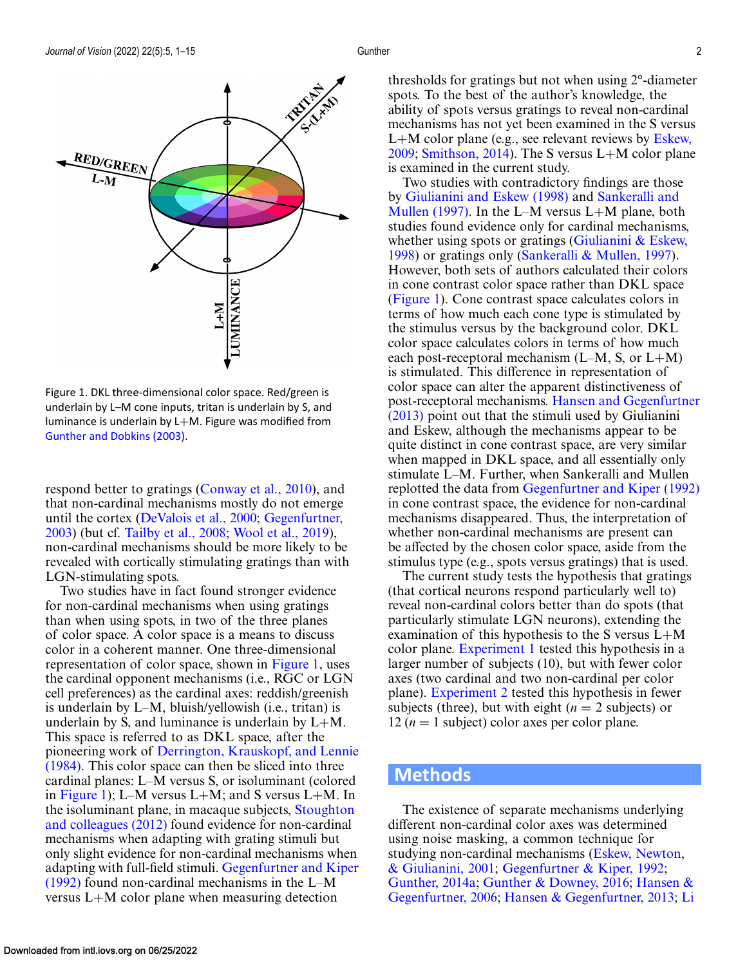<span id="page-1-0"></span>

Figure 1. DKL three-dimensional color space. Red/green is underlain by L–M cone inputs, tritan is underlain by S, and luminance is underlain by L+M. Figure was modified from [Gunther and Dobkins \(2003\).](#page-10-0)

respond better to gratings [\(Conway et al., 2010\)](#page-9-0), and that non-cardinal mechanisms mostly do not emerge [until the cortex \(](#page-10-0)[DeValois et al., 2000](#page-9-0)[;](#page-10-0) Gegenfurtner, 2003) (but cf. [Tailby et al., 2008;](#page-10-0) [Wool et al., 2019\)](#page-11-0), non-cardinal mechanisms should be more likely to be revealed with cortically stimulating gratings than with LGN-stimulating spots.

Two studies have in fact found stronger evidence for non-cardinal mechanisms when using gratings than when using spots, in two of the three planes of color space. A color space is a means to discuss color in a coherent manner. One three-dimensional representation of color space, shown in Figure 1, uses the cardinal opponent mechanisms (i.e., RGC or LGN cell preferences) as the cardinal axes: reddish/greenish is underlain by L–M, bluish/yellowish (i.e., tritan) is underlain by S, and luminance is underlain by  $L+M$ . This space is referred to as DKL space, after the pioneering work of Derrington, Krauskopf, and Lennie [\(1984\). This color space can then be sliced into three](#page-9-0) cardinal planes: L–M versus S, or isoluminant (colored in Figure 1); L–M versus L+M; and S versus L+M. In [the isoluminant plane, in macaque subjects,](#page-10-0) Stoughton and colleagues (2012) found evidence for non-cardinal mechanisms when adapting with grating stimuli but only slight evidence for non-cardinal mechanisms when adapting with full-field stimuli. Gegenfurtner and Kiper (1992) [found non-cardinal mechanisms in the L–M](#page-10-0) versus L+M color plane when measuring detection

thresholds for gratings but not when using 2°-diameter spots. To the best of the author's knowledge, the ability of spots versus gratings to reveal non-cardinal mechanisms has not yet been examined in the S versus L+[M color plane \(e.g., see relevant reviews by](#page-9-0) Eskew, 2009; [Smithson, 2014\)](#page-10-0). The S versus L+M color plane is examined in the current study.

Two studies with contradictory findings are those by [Giulianini and Eskew \(1998\)](#page-10-0) and Sankeralli and [Mullen \(1997\). In the L–M versus L](#page-10-0)+M plane, both studies found evidence only for cardinal mechanisms, whether using spots or gratings (Giulianini  $&$  Eskew, 1998) or gratings only [\(Sankeralli & Mullen, 1997\)](#page-10-0). However, both sets of authors calculated their colors in cone contrast color space rather than DKL space (Figure 1). Cone contrast space calculates colors in terms of how much each cone type is stimulated by the stimulus versus by the background color. DKL color space calculates colors in terms of how much each post-receptoral mechanism  $(L-M, S, \text{or } L+M)$ is stimulated. This difference in representation of color space can alter the apparent distinctiveness of post-receptoral mechanisms. Hansen and Gegenfurtner (2013) [point out that the stimuli used by Giulianini](#page-10-0) and Eskew, although the mechanisms appear to be quite distinct in cone contrast space, are very similar when mapped in DKL space, and all essentially only stimulate L–M. Further, when Sankeralli and Mullen replotted the data from [Gegenfurtner and Kiper \(1992\)](#page-10-0) in cone contrast space, the evidence for non-cardinal mechanisms disappeared. Thus, the interpretation of whether non-cardinal mechanisms are present can be affected by the chosen color space, aside from the stimulus type (e.g., spots versus gratings) that is used.

The current study tests the hypothesis that gratings (that cortical neurons respond particularly well to) reveal non-cardinal colors better than do spots (that particularly stimulate LGN neurons), extending the examination of this hypothesis to the S versus L+M color plane. [Experiment 1](#page-3-0) tested this hypothesis in a larger number of subjects (10), but with fewer color axes (two cardinal and two non-cardinal per color plane). [Experiment 2](#page-5-0) tested this hypothesis in fewer subjects (three), but with eight  $(n = 2$  subjects) or 12 ( $n = 1$  subject) color axes per color plane.

# **Methods**

The existence of separate mechanisms underlying different non-cardinal color axes was determined using noise masking, a common technique for [studying non-cardinal mechanisms \(Eskew, Newton,](#page-9-0) & Giulianini, 2001; [Gegenfurtner & Kiper, 1992;](#page-10-0) [Gunther, 2014a;](#page-10-0) [Gunther & Downey, 2016;](#page-10-0) Hansen & Gegenfurtner, 2006; [Hansen & Gegenfurtner, 2013;](#page-10-0) [Li](#page-10-0)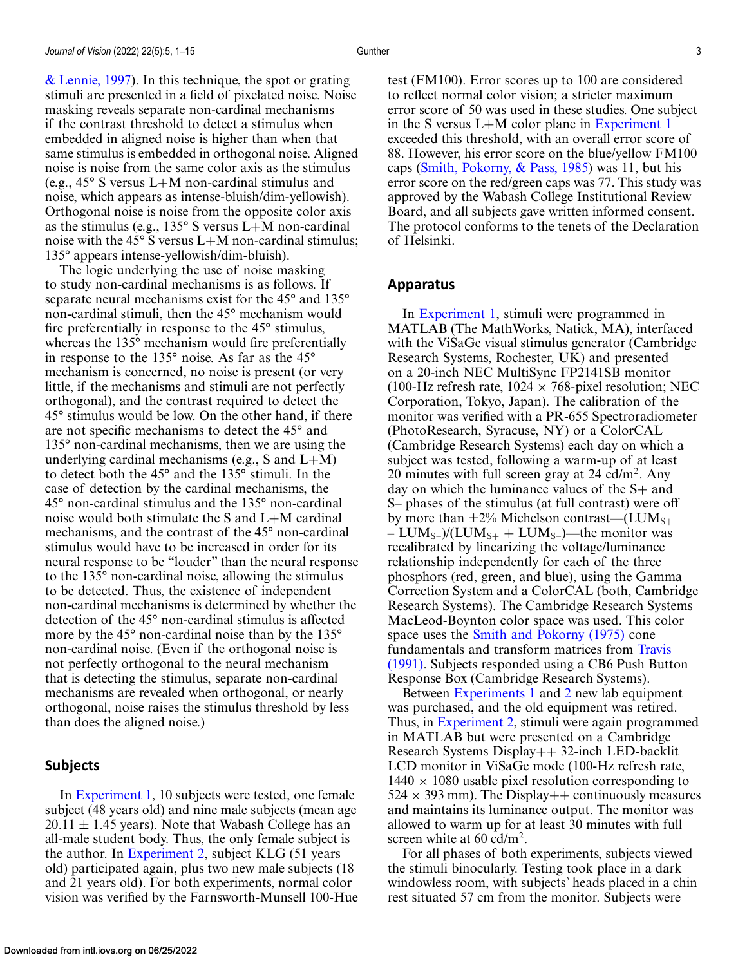[& Lennie, 1997\)](#page-10-0). In this technique, the spot or grating stimuli are presented in a field of pixelated noise. Noise masking reveals separate non-cardinal mechanisms if the contrast threshold to detect a stimulus when embedded in aligned noise is higher than when that same stimulus is embedded in orthogonal noise. Aligned noise is noise from the same color axis as the stimulus (e.g., 45° S versus L+M non-cardinal stimulus and noise, which appears as intense-bluish/dim-yellowish). Orthogonal noise is noise from the opposite color axis as the stimulus (e.g.,  $135^{\circ}$  S versus L+M non-cardinal noise with the 45 $\degree$  S versus L+M non-cardinal stimulus; 135° appears intense-yellowish/dim-bluish).

The logic underlying the use of noise masking to study non-cardinal mechanisms is as follows. If separate neural mechanisms exist for the 45° and 135° non-cardinal stimuli, then the 45° mechanism would fire preferentially in response to the 45° stimulus, whereas the 135° mechanism would fire preferentially in response to the 135° noise. As far as the 45° mechanism is concerned, no noise is present (or very little, if the mechanisms and stimuli are not perfectly orthogonal), and the contrast required to detect the 45° stimulus would be low. On the other hand, if there are not specific mechanisms to detect the 45° and 135° non-cardinal mechanisms, then we are using the underlying cardinal mechanisms (e.g., S and  $L+M$ ) to detect both the 45° and the 135° stimuli. In the case of detection by the cardinal mechanisms, the 45° non-cardinal stimulus and the 135° non-cardinal noise would both stimulate the S and L+M cardinal mechanisms, and the contrast of the 45° non-cardinal stimulus would have to be increased in order for its neural response to be "louder" than the neural response to the 135° non-cardinal noise, allowing the stimulus to be detected. Thus, the existence of independent non-cardinal mechanisms is determined by whether the detection of the 45° non-cardinal stimulus is affected more by the 45° non-cardinal noise than by the 135° non-cardinal noise. (Even if the orthogonal noise is not perfectly orthogonal to the neural mechanism that is detecting the stimulus, separate non-cardinal mechanisms are revealed when orthogonal, or nearly orthogonal, noise raises the stimulus threshold by less than does the aligned noise.)

#### **Subjects**

In [Experiment 1,](#page-3-0) 10 subjects were tested, one female subject (48 years old) and nine male subjects (mean age  $20.11 \pm 1.45$  years). Note that Wabash College has an all-male student body. Thus, the only female subject is the author. In [Experiment 2,](#page-5-0) subject KLG (51 years old) participated again, plus two new male subjects (18 and 21 years old). For both experiments, normal color vision was verified by the Farnsworth-Munsell 100-Hue test (FM100). Error scores up to 100 are considered to reflect normal color vision; a stricter maximum error score of 50 was used in these studies. One subject in the S versus L+M color plane in [Experiment 1](#page-3-0) exceeded this threshold, with an overall error score of 88. However, his error score on the blue/yellow FM100 caps [\(Smith, Pokorny, & Pass, 1985\)](#page-10-0) was 11, but his error score on the red/green caps was 77. This study was approved by the Wabash College Institutional Review Board, and all subjects gave written informed consent. The protocol conforms to the tenets of the Declaration of Helsinki.

#### **Apparatus**

In [Experiment 1,](#page-3-0) stimuli were programmed in MATLAB (The MathWorks, Natick, MA), interfaced with the ViSaGe visual stimulus generator (Cambridge Research Systems, Rochester, UK) and presented on a 20-inch NEC MultiSync FP2141SB monitor (100-Hz refresh rate,  $1024 \times 768$ -pixel resolution; NEC Corporation, Tokyo, Japan). The calibration of the monitor was verified with a PR-655 Spectroradiometer (PhotoResearch, Syracuse, NY) or a ColorCAL (Cambridge Research Systems) each day on which a subject was tested, following a warm-up of at least 20 minutes with full screen gray at  $24$  cd/m<sup>2</sup>. Any day on which the luminance values of the S+ and S– phases of the stimulus (at full contrast) were off by more than  $\pm 2\%$  Michelson contrast—(LUM<sub>S+</sub>  $– LUM<sub>S–</sub>)/(LUM<sub>S+</sub> + LUM<sub>S–</sub>)$ —the monitor was recalibrated by linearizing the voltage/luminance relationship independently for each of the three phosphors (red, green, and blue), using the Gamma Correction System and a ColorCAL (both, Cambridge Research Systems). The Cambridge Research Systems MacLeod-Boynton color space was used. This color space uses the [Smith and Pokorny \(1975\)](#page-10-0) cone fundamentals and transform matrices from Travis [\(1991\). Subjects responded using a CB6 Push Butt](#page-11-0)on Response Box (Cambridge Research Systems).

Between [Experiments 1](#page-3-0) and [2](#page-5-0) new lab equipment was purchased, and the old equipment was retired. Thus, in [Experiment 2,](#page-5-0) stimuli were again programmed in MATLAB but were presented on a Cambridge Research Systems Display++ 32-inch LED-backlit LCD monitor in ViSaGe mode (100-Hz refresh rate,  $1440 \times 1080$  usable pixel resolution corresponding to  $524 \times 393$  mm). The Display + + continuously measures and maintains its luminance output. The monitor was allowed to warm up for at least 30 minutes with full screen white at  $60 \text{ cd/m}^2$ .

For all phases of both experiments, subjects viewed the stimuli binocularly. Testing took place in a dark windowless room, with subjects' heads placed in a chin rest situated 57 cm from the monitor. Subjects were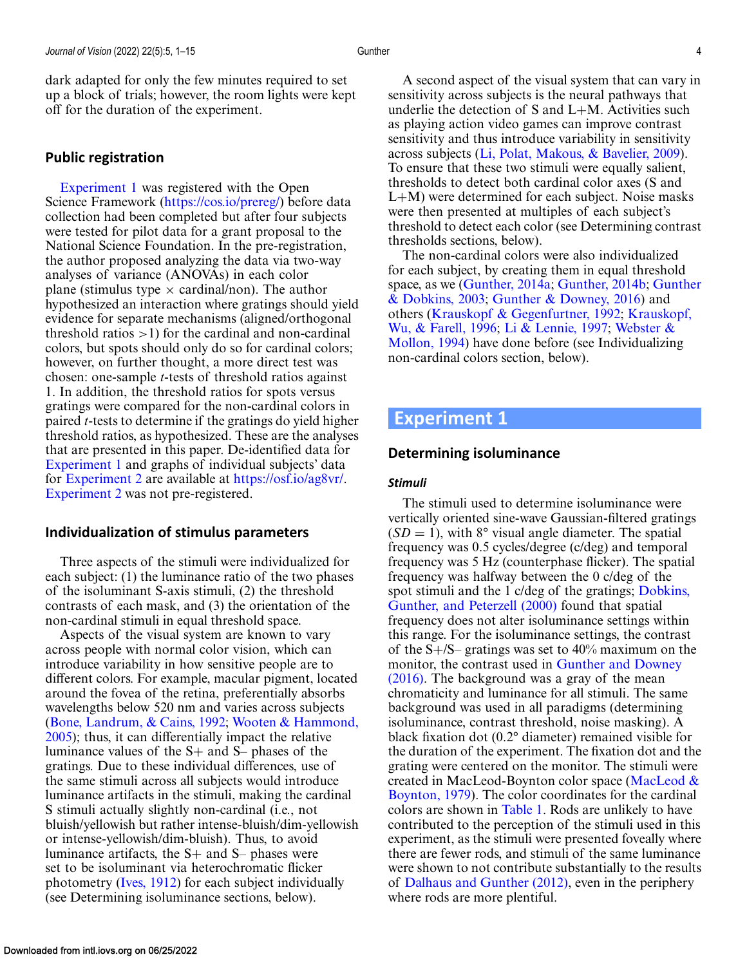# <span id="page-3-0"></span>**Public registration**

Experiment 1 was registered with the Open Science Framework [\(https://cos.io/prereg/\)](https://cos.io/prereg/) before data collection had been completed but after four subjects were tested for pilot data for a grant proposal to the National Science Foundation. In the pre-registration, the author proposed analyzing the data via two-way analyses of variance (ANOVAs) in each color plane (stimulus type  $\times$  cardinal/non). The author hypothesized an interaction where gratings should yield evidence for separate mechanisms (aligned/orthogonal threshold ratios  $>1$ ) for the cardinal and non-cardinal colors, but spots should only do so for cardinal colors; however, on further thought, a more direct test was chosen: one-sample *t*-tests of threshold ratios against 1. In addition, the threshold ratios for spots versus gratings were compared for the non-cardinal colors in paired *t*-tests to determine if the gratings do yield higher threshold ratios, as hypothesized. These are the analyses that are presented in this paper. De-identified data for Experiment 1 and graphs of individual subjects' data for [Experiment 2](#page-5-0) are available at [https://osf.io/ag8vr/.](https://osf.io/ag8vr/) [Experiment 2](#page-5-0) was not pre-registered.

# **Individualization of stimulus parameters**

Three aspects of the stimuli were individualized for each subject: (1) the luminance ratio of the two phases of the isoluminant S-axis stimuli, (2) the threshold contrasts of each mask, and (3) the orientation of the non-cardinal stimuli in equal threshold space.

Aspects of the visual system are known to vary across people with normal color vision, which can introduce variability in how sensitive people are to different colors. For example, macular pigment, located around the fovea of the retina, preferentially absorbs wavelengths below 520 nm and varies across subjects [\(Bone, Landrum, & Cains, 1992;](#page-9-0) Wooten & Hammond, [2005\); thus, it can differentially impact the relative](#page-11-0) luminance values of the S+ and S– phases of the gratings. Due to these individual differences, use of the same stimuli across all subjects would introduce luminance artifacts in the stimuli, making the cardinal S stimuli actually slightly non-cardinal (i.e., not bluish/yellowish but rather intense-bluish/dim-yellowish or intense-yellowish/dim-bluish). Thus, to avoid luminance artifacts, the S+ and S– phases were set to be isoluminant via heterochromatic flicker photometry [\(Ives, 1912\)](#page-10-0) for each subject individually (see Determining isoluminance sections, below).

A second aspect of the visual system that can vary in sensitivity across subjects is the neural pathways that underlie the detection of  $S$  and  $L+M$ . Activities such as playing action video games can improve contrast sensitivity and thus introduce variability in sensitivity across subjects [\(Li, Polat, Makous, & Bavelier, 2009\)](#page-10-0). To ensure that these two stimuli were equally salient, thresholds to detect both cardinal color axes (S and L+M) were determined for each subject. Noise masks were then presented at multiples of each subject's threshold to detect each color (see Determining contrast thresholds sections, below).

The non-cardinal colors were also individualized for each subject, by creating them in equal threshold space, as we [\(Gunther, 2014a;](#page-10-0) [Gunther, 2014b;](#page-10-0) Gunther & Dobkins, 2003; [Gunther & Downey, 2016\) and](#page-10-0) [others \(Krauskopf & Gegenfurtner, 1992;](#page-10-0) Krauskopf, Wu, & Farell, 1996; [Li & Lennie, 1997;](#page-10-0) Webster & [Mollon, 1994\) have done before \(see Individualizing](#page-11-0) non-cardinal colors section, below).

# **Experiment 1**

# **Determining isoluminance**

#### *Stimuli*

The stimuli used to determine isoluminance were vertically oriented sine-wave Gaussian-filtered gratings  $(SD = 1)$ , with 8° visual angle diameter. The spatial frequency was 0.5 cycles/degree (c/deg) and temporal frequency was 5 Hz (counterphase flicker). The spatial frequency was halfway between the 0 c/deg of the [spot stimuli and the 1 c/deg of the gratings;](#page-9-0) Dobkins, Gunther, and Peterzell (2000) found that spatial frequency does not alter isoluminance settings within this range. For the isoluminance settings, the contrast of the  $S + / S$ – gratings was set to 40% maximum on the monitor, the contrast used in Gunther and Downey [\(2016\). The background was a gray of the mean](#page-10-0) chromaticity and luminance for all stimuli. The same background was used in all paradigms (determining isoluminance, contrast threshold, noise masking). A black fixation dot (0.2° diameter) remained visible for the duration of the experiment. The fixation dot and the grating were centered on the monitor. The stimuli were [created in MacLeod-Boynton color space \(MacLeod &](#page-10-0) Boynton, 1979). The color coordinates for the cardinal colors are shown in [Table 1.](#page-4-0) Rods are unlikely to have contributed to the perception of the stimuli used in this experiment, as the stimuli were presented foveally where there are fewer rods, and stimuli of the same luminance were shown to not contribute substantially to the results of [Dalhaus and Gunther \(2012\),](#page-9-0) even in the periphery where rods are more plentiful.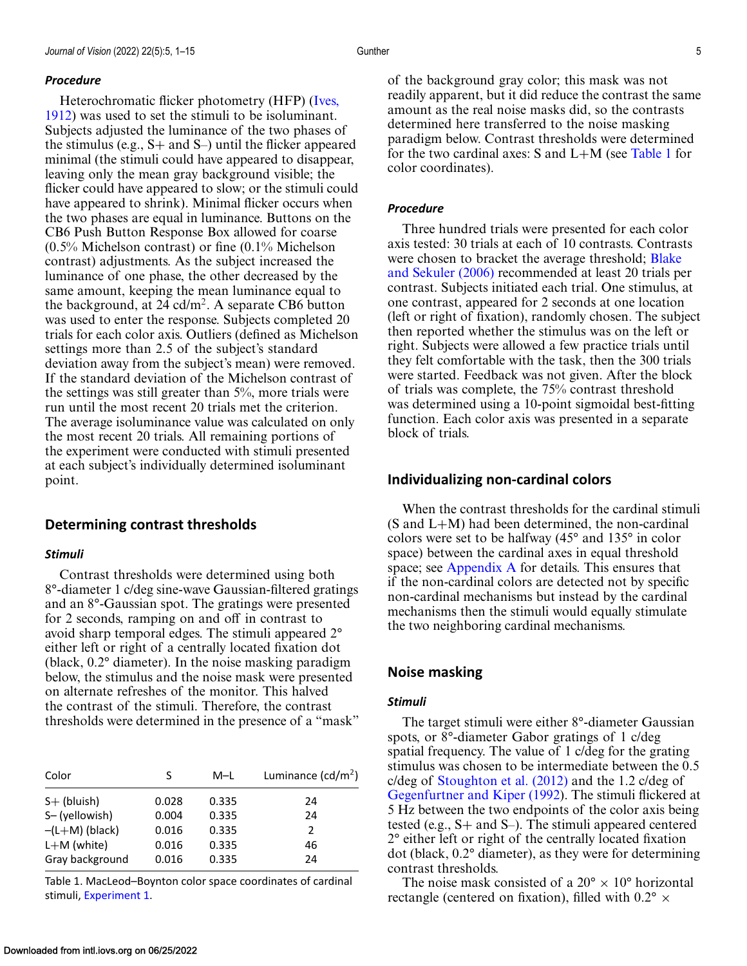#### <span id="page-4-0"></span>*Procedure*

Heterochromatic flicker photometry (HFP) (Ives, [1912\) was used to set the stimuli to be isoluminant.](#page-10-0) Subjects adjusted the luminance of the two phases of the stimulus (e.g.,  $S+$  and  $S-$ ) until the flicker appeared minimal (the stimuli could have appeared to disappear, leaving only the mean gray background visible; the flicker could have appeared to slow; or the stimuli could have appeared to shrink). Minimal flicker occurs when the two phases are equal in luminance. Buttons on the CB6 Push Button Response Box allowed for coarse (0.5% Michelson contrast) or fine (0.1% Michelson contrast) adjustments. As the subject increased the luminance of one phase, the other decreased by the same amount, keeping the mean luminance equal to the background, at 24 cd/m<sup>2</sup>. A separate CB6 button was used to enter the response. Subjects completed 20 trials for each color axis. Outliers (defined as Michelson settings more than 2.5 of the subject's standard deviation away from the subject's mean) were removed. If the standard deviation of the Michelson contrast of the settings was still greater than 5%, more trials were run until the most recent 20 trials met the criterion. The average isoluminance value was calculated on only the most recent 20 trials. All remaining portions of the experiment were conducted with stimuli presented at each subject's individually determined isoluminant point.

#### **Determining contrast thresholds**

#### *Stimuli*

Contrast thresholds were determined using both 8°-diameter 1 c/deg sine-wave Gaussian-filtered gratings and an 8°-Gaussian spot. The gratings were presented for 2 seconds, ramping on and off in contrast to avoid sharp temporal edges. The stimuli appeared 2° either left or right of a centrally located fixation dot (black, 0.2° diameter). In the noise masking paradigm below, the stimulus and the noise mask were presented on alternate refreshes of the monitor. This halved the contrast of the stimuli. Therefore, the contrast thresholds were determined in the presence of a "mask"

| Color            | S     | M-L   | Luminance $(cd/m^2)$ |  |  |
|------------------|-------|-------|----------------------|--|--|
| $S+$ (bluish)    | 0.028 | 0.335 | 24                   |  |  |
| S-(yellowish)    | 0.004 | 0.335 | 24                   |  |  |
| $-(L+M)$ (black) | 0.016 | 0.335 | 2                    |  |  |
| $L+M$ (white)    | 0.016 | 0.335 | 46                   |  |  |
| Gray background  | 0.016 | 0.335 | 24                   |  |  |

Table 1. MacLeod–Boynton color space coordinates of cardinal stimuli, [Experiment 1.](#page-3-0)

of the background gray color; this mask was not readily apparent, but it did reduce the contrast the same amount as the real noise masks did, so the contrasts determined here transferred to the noise masking paradigm below. Contrast thresholds were determined for the two cardinal axes:  $S$  and  $L+M$  (see Table 1 for color coordinates).

#### *Procedure*

Three hundred trials were presented for each color axis tested: 30 trials at each of 10 contrasts. Contrasts [were chosen to bracket the average threshold;](#page-9-0) Blake and Sekuler (2006) recommended at least 20 trials per contrast. Subjects initiated each trial. One stimulus, at one contrast, appeared for 2 seconds at one location (left or right of fixation), randomly chosen. The subject then reported whether the stimulus was on the left or right. Subjects were allowed a few practice trials until they felt comfortable with the task, then the 300 trials were started. Feedback was not given. After the block of trials was complete, the 75% contrast threshold was determined using a 10-point sigmoidal best-fitting function. Each color axis was presented in a separate block of trials.

#### **Individualizing non-cardinal colors**

When the contrast thresholds for the cardinal stimuli (S and L+M) had been determined, the non-cardinal colors were set to be halfway (45° and 135° in color space) between the cardinal axes in equal threshold space; see [Appendix A](#page-11-0) for details. This ensures that if the non-cardinal colors are detected not by specific non-cardinal mechanisms but instead by the cardinal mechanisms then the stimuli would equally stimulate the two neighboring cardinal mechanisms.

#### **Noise masking**

#### *Stimuli*

The target stimuli were either 8°-diameter Gaussian spots, or 8°-diameter Gabor gratings of 1 c/deg spatial frequency. The value of 1 c/deg for the grating stimulus was chosen to be intermediate between the 0.5 c/deg of [Stoughton et al. \(2012\)](#page-10-0) and the 1.2 c/deg of [Gegenfurtner and Kiper \(1992\)](#page-10-0). The stimuli flickered at 5 Hz between the two endpoints of the color axis being tested (e.g., S+ and S–). The stimuli appeared centered 2° either left or right of the centrally located fixation dot (black, 0.2° diameter), as they were for determining contrast thresholds.

The noise mask consisted of a  $20^{\circ} \times 10^{\circ}$  horizontal rectangle (centered on fixation), filled with  $0.2^{\circ} \times$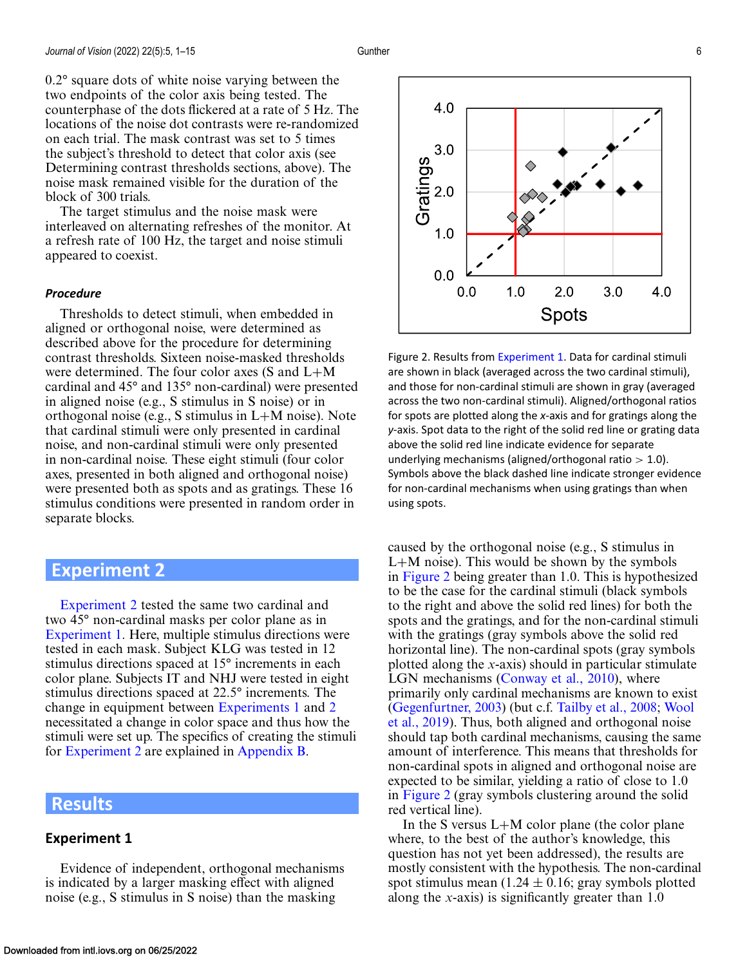<span id="page-5-0"></span>0.2° square dots of white noise varying between the two endpoints of the color axis being tested. The counterphase of the dots flickered at a rate of 5 Hz. The locations of the noise dot contrasts were re-randomized on each trial. The mask contrast was set to 5 times the subject's threshold to detect that color axis (see Determining contrast thresholds sections, above). The noise mask remained visible for the duration of the block of 300 trials.

The target stimulus and the noise mask were interleaved on alternating refreshes of the monitor. At a refresh rate of 100 Hz, the target and noise stimuli appeared to coexist.

#### *Procedure*

Thresholds to detect stimuli, when embedded in aligned or orthogonal noise, were determined as described above for the procedure for determining contrast thresholds. Sixteen noise-masked thresholds were determined. The four color axes (S and L+M cardinal and 45° and 135° non-cardinal) were presented in aligned noise (e.g., S stimulus in S noise) or in orthogonal noise (e.g., S stimulus in L+M noise). Note that cardinal stimuli were only presented in cardinal noise, and non-cardinal stimuli were only presented in non-cardinal noise. These eight stimuli (four color axes, presented in both aligned and orthogonal noise) were presented both as spots and as gratings. These 16 stimulus conditions were presented in random order in separate blocks.

# **Experiment 2**

Experiment 2 tested the same two cardinal and two 45° non-cardinal masks per color plane as in [Experiment 1.](#page-3-0) Here, multiple stimulus directions were tested in each mask. Subject KLG was tested in 12 stimulus directions spaced at 15° increments in each color plane. Subjects IT and NHJ were tested in eight stimulus directions spaced at 22.5° increments. The change in equipment between [Experiments 1](#page-3-0) and 2 necessitated a change in color space and thus how the stimuli were set up. The specifics of creating the stimuli for Experiment 2 are explained in [Appendix B.](#page-11-0)

# **Results**

#### **Experiment 1**

Evidence of independent, orthogonal mechanisms is indicated by a larger masking effect with aligned noise (e.g., S stimulus in S noise) than the masking



Figure 2. Results from [Experiment 1.](#page-3-0) Data for cardinal stimuli are shown in black (averaged across the two cardinal stimuli), and those for non-cardinal stimuli are shown in gray (averaged across the two non-cardinal stimuli). Aligned/orthogonal ratios for spots are plotted along the *x*-axis and for gratings along the *y*-axis. Spot data to the right of the solid red line or grating data above the solid red line indicate evidence for separate underlying mechanisms (aligned/orthogonal ratio  $> 1.0$ ). Symbols above the black dashed line indicate stronger evidence for non-cardinal mechanisms when using gratings than when using spots.

caused by the orthogonal noise (e.g., S stimulus in L+M noise). This would be shown by the symbols in Figure 2 being greater than 1.0. This is hypothesized to be the case for the cardinal stimuli (black symbols to the right and above the solid red lines) for both the spots and the gratings, and for the non-cardinal stimuli with the gratings (gray symbols above the solid red horizontal line). The non-cardinal spots (gray symbols plotted along the *x*-axis) should in particular stimulate LGN mechanisms [\(Conway et al., 2010\)](#page-9-0), where primarily only cardinal mechanisms are known to exist [\(Gegenfurtner, 2003\)](#page-10-0) (but c.f. [Tailby et al., 2008;](#page-10-0) Wool [et al., 2019\). Thus, both aligned and orthogonal noise](#page-11-0) should tap both cardinal mechanisms, causing the same amount of interference. This means that thresholds for non-cardinal spots in aligned and orthogonal noise are expected to be similar, yielding a ratio of close to 1.0 in Figure 2 (gray symbols clustering around the solid red vertical line).

In the S versus  $L+M$  color plane (the color plane where, to the best of the author's knowledge, this question has not yet been addressed), the results are mostly consistent with the hypothesis. The non-cardinal spot stimulus mean  $(1.24 \pm 0.16)$ ; gray symbols plotted along the *x*-axis) is significantly greater than 1.0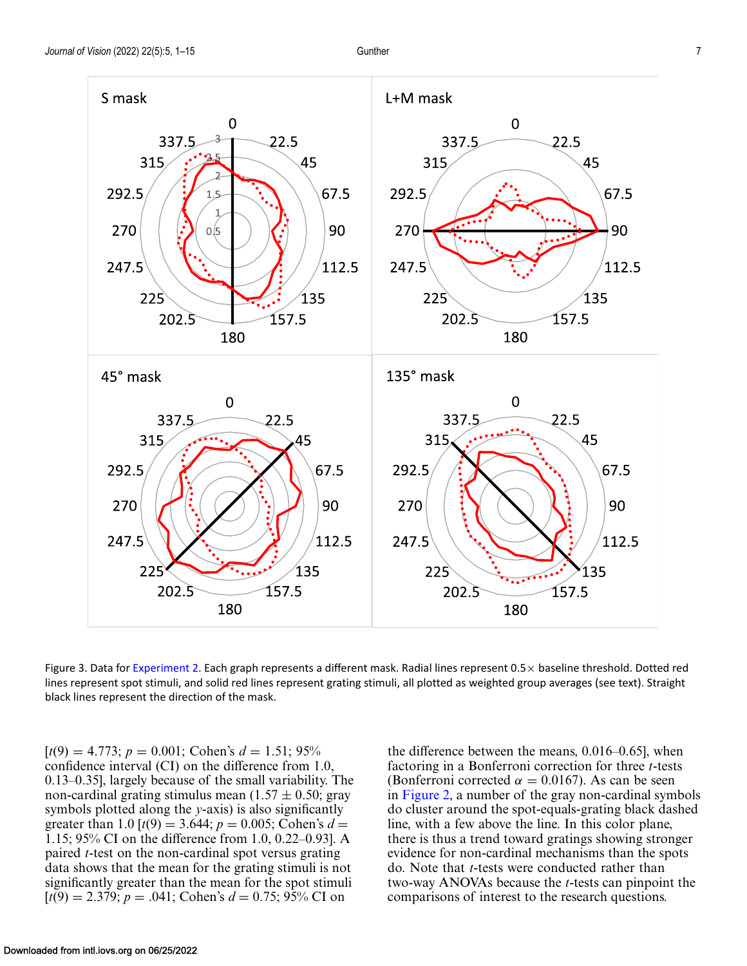<span id="page-6-0"></span>

Figure 3. Data for [Experiment 2.](#page-5-0) Each graph represents a different mask. Radial lines represent  $0.5\times$  baseline threshold. Dotted red lines represent spot stimuli, and solid red lines represent grating stimuli, all plotted as weighted group averages (see text). Straight black lines represent the direction of the mask.

 $[t(9) = 4.773; p = 0.001; \text{ Cohen's } d = 1.51; 95\%$ confidence interval (CI) on the difference from 1.0, 0.13–0.35], largely because of the small variability. The non-cardinal grating stimulus mean  $(1.57 \pm 0.50; \text{gray})$ symbols plotted along the *y*-axis) is also significantly greater than 1.0  $[t(9) = 3.644; p = 0.005; \text{Cohen's } d =$ 1.15; 95% CI on the difference from 1.0, 0.22–0.93]. A paired *t*-test on the non-cardinal spot versus grating data shows that the mean for the grating stimuli is not significantly greater than the mean for the spot stimuli  $[t(9) = 2.379; p = .041; \text{ Cohen's } d = 0.75; 95\% \text{ CI on}$ 

the difference between the means, 0.016–0.65], when factoring in a Bonferroni correction for three *t*-tests (Bonferroni corrected  $\alpha = 0.0167$ ). As can be seen in [Figure 2,](#page-5-0) a number of the gray non-cardinal symbols do cluster around the spot-equals-grating black dashed line, with a few above the line. In this color plane, there is thus a trend toward gratings showing stronger evidence for non-cardinal mechanisms than the spots do. Note that *t*-tests were conducted rather than two-way ANOVAs because the *t*-tests can pinpoint the comparisons of interest to the research questions.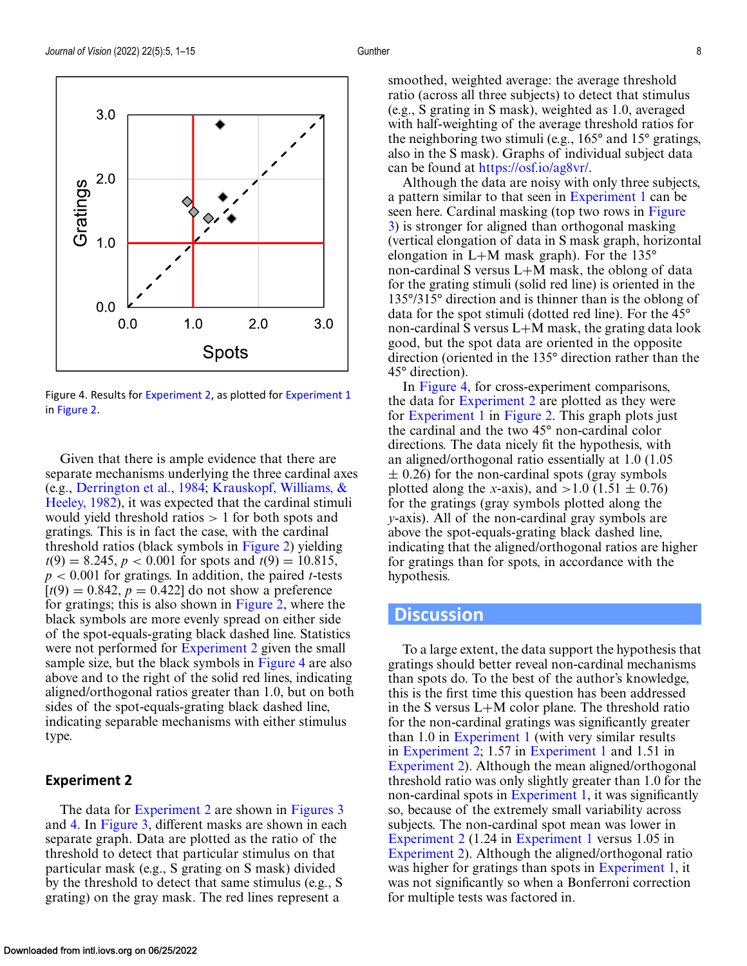

Figure 4. Results for [Experiment 2,](#page-5-0) as plotted for [Experiment 1](#page-3-0) in [Figure 2.](#page-5-0)

Given that there is ample evidence that there are separate mechanisms underlying the three cardinal axes (e.g., [Derrington et al., 1984;](#page-9-0) Krauskopf, Williams, & [Heeley, 1982\), it was expected that the cardinal stimuli](#page-10-0) would yield threshold ratios  $> 1$  for both spots and gratings. This is in fact the case, with the cardinal threshold ratios (black symbols in [Figure 2\)](#page-5-0) yielding  $t(9) = 8.245$ ,  $p < 0.001$  for spots and  $t(9) = 10.815$ , *p* < 0.001 for gratings. In addition, the paired *t*-tests  $[t(9) = 0.842, p = 0.422]$  do not show a preference for gratings; this is also shown in [Figure 2,](#page-5-0) where the black symbols are more evenly spread on either side of the spot-equals-grating black dashed line. Statistics were not performed for [Experiment 2](#page-5-0) given the small sample size, but the black symbols in Figure 4 are also above and to the right of the solid red lines, indicating aligned/orthogonal ratios greater than 1.0, but on both sides of the spot-equals-grating black dashed line, indicating separable mechanisms with either stimulus type.

#### **Experiment 2**

The data for [Experiment 2](#page-5-0) are shown in [Figures 3](#page-6-0) and 4. In [Figure 3,](#page-6-0) different masks are shown in each separate graph. Data are plotted as the ratio of the threshold to detect that particular stimulus on that particular mask (e.g., S grating on S mask) divided by the threshold to detect that same stimulus (e.g., S grating) on the gray mask. The red lines represent a

smoothed, weighted average: the average threshold ratio (across all three subjects) to detect that stimulus (e.g., S grating in S mask), weighted as 1.0, averaged with half-weighting of the average threshold ratios for the neighboring two stimuli (e.g., 165° and 15° gratings, also in the S mask). Graphs of individual subject data can be found at [https://osf.io/ag8vr/.](https://osf.io/ag8vr/)

Although the data are noisy with only three subjects, a pattern similar to that seen in [Experiment 1](#page-3-0) can be seen here. Cardinal masking (top two rows in Figure [3\) is stronger for aligned than orthogonal masking](#page-6-0) (vertical elongation of data in S mask graph, horizontal elongation in L+M mask graph). For the 135° non-cardinal S versus L+M mask, the oblong of data for the grating stimuli (solid red line) is oriented in the 135°/315° direction and is thinner than is the oblong of data for the spot stimuli (dotted red line). For the 45° non-cardinal S versus L+M mask, the grating data look good, but the spot data are oriented in the opposite direction (oriented in the 135° direction rather than the 45° direction).

In Figure 4, for cross-experiment comparisons, the data for [Experiment 2](#page-5-0) are plotted as they were for [Experiment 1](#page-3-0) in [Figure 2.](#page-5-0) This graph plots just the cardinal and the two 45° non-cardinal color directions. The data nicely fit the hypothesis, with an aligned/orthogonal ratio essentially at 1.0 (1.05  $\pm$  0.26) for the non-cardinal spots (gray symbols plotted along the *x*-axis), and  $>1.0$  (1.51  $\pm$  0.76) for the gratings (gray symbols plotted along the *y*-axis). All of the non-cardinal gray symbols are above the spot-equals-grating black dashed line, indicating that the aligned/orthogonal ratios are higher for gratings than for spots, in accordance with the hypothesis.

# **Discussion**

To a large extent, the data support the hypothesis that gratings should better reveal non-cardinal mechanisms than spots do. To the best of the author's knowledge, this is the first time this question has been addressed in the S versus L+M color plane. The threshold ratio for the non-cardinal gratings was significantly greater than 1.0 in [Experiment 1](#page-3-0) (with very similar results in [Experiment 2;](#page-5-0) 1.57 in [Experiment 1](#page-3-0) and 1.51 in [Experiment 2\)](#page-5-0). Although the mean aligned/orthogonal threshold ratio was only slightly greater than 1.0 for the non-cardinal spots in [Experiment 1,](#page-3-0) it was significantly so, because of the extremely small variability across subjects. The non-cardinal spot mean was lower in [Experiment 2](#page-5-0) (1.24 in [Experiment 1](#page-3-0) versus 1.05 in [Experiment 2\)](#page-5-0). Although the aligned/orthogonal ratio was higher for gratings than spots in [Experiment 1,](#page-3-0) it was not significantly so when a Bonferroni correction for multiple tests was factored in.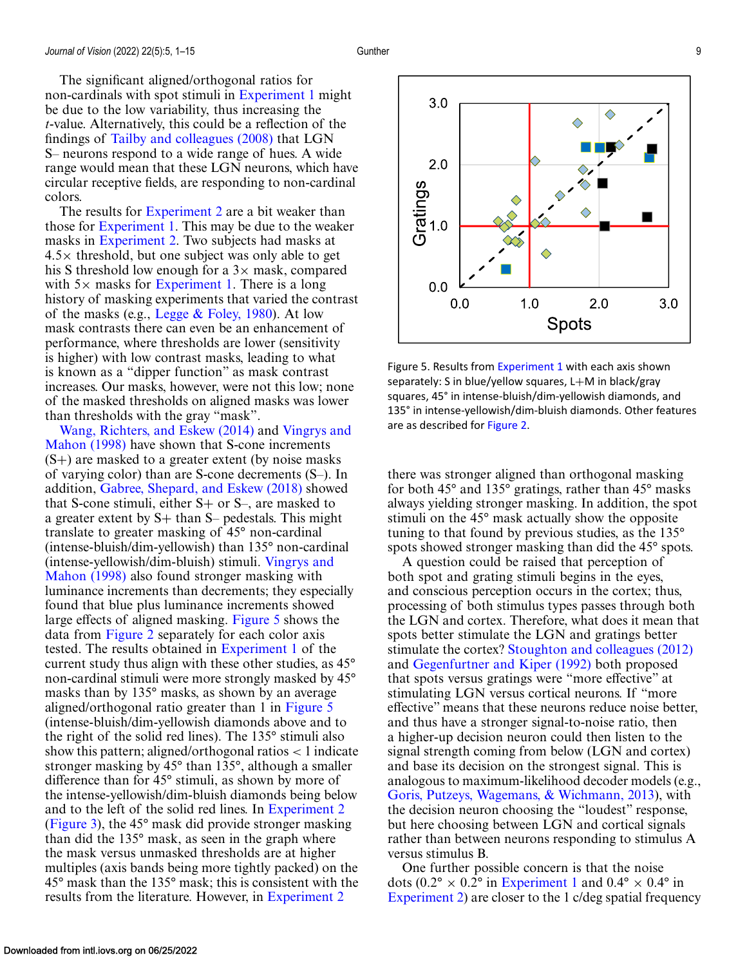The significant aligned/orthogonal ratios for non-cardinals with spot stimuli in [Experiment 1](#page-3-0) might be due to the low variability, thus increasing the *t*-value. Alternatively, this could be a reflection of the findings of [Tailby and colleagues \(2008\)](#page-10-0) that LGN S– neurons respond to a wide range of hues. A wide range would mean that these LGN neurons, which have circular receptive fields, are responding to non-cardinal colors.

The results for [Experiment 2](#page-5-0) are a bit weaker than those for [Experiment 1.](#page-3-0) This may be due to the weaker masks in [Experiment 2.](#page-5-0) Two subjects had masks at  $4.5\times$  threshold, but one subject was only able to get his S threshold low enough for a  $3\times$  mask, compared with  $5\times$  masks for [Experiment 1.](#page-3-0) There is a long history of masking experiments that varied the contrast of the masks (e.g., Legge  $& \text{Foley}, 1980$ ). At low mask contrasts there can even be an enhancement of performance, where thresholds are lower (sensitivity is higher) with low contrast masks, leading to what is known as a "dipper function" as mask contrast increases. Our masks, however, were not this low; none of the masked thresholds on aligned masks was lower than thresholds with the gray "mask".

[Wang, Richters, and Eskew \(2014\)](#page-11-0) and Vingrys and Mahon (1998) [have shown that S-cone increments](#page-11-0)  $(S+)$  are masked to a greater extent (by noise masks) of varying color) than are S-cone decrements (S–). In addition, [Gabree, Shepard, and Eskew \(2018\)](#page-9-0) showed that S-cone stimuli, either  $S+$  or  $S-$ , are masked to a greater extent by  $S+$  than  $S-$  pedestals. This might translate to greater masking of 45° non-cardinal (intense-bluish/dim-yellowish) than 135° non-cardinal [\(intense-yellowish/dim-bluish\) stimuli.](#page-11-0) Vingrys and Mahon (1998) also found stronger masking with luminance increments than decrements; they especially found that blue plus luminance increments showed large effects of aligned masking. Figure 5 shows the data from [Figure 2](#page-5-0) separately for each color axis tested. The results obtained in [Experiment 1](#page-3-0) of the current study thus align with these other studies, as 45° non-cardinal stimuli were more strongly masked by 45° masks than by 135° masks, as shown by an average aligned/orthogonal ratio greater than 1 in Figure 5 (intense-bluish/dim-yellowish diamonds above and to the right of the solid red lines). The 135° stimuli also show this pattern; aligned/orthogonal ratios  $\lt$  1 indicate stronger masking by 45° than 135°, although a smaller difference than for 45° stimuli, as shown by more of the intense-yellowish/dim-bluish diamonds being below and to the left of the solid red lines. In [Experiment 2](#page-5-0) [\(Figure 3\)](#page-6-0), the 45° mask did provide stronger masking than did the 135° mask, as seen in the graph where the mask versus unmasked thresholds are at higher multiples (axis bands being more tightly packed) on the 45° mask than the 135° mask; this is consistent with the results from the literature. However, in [Experiment 2](#page-5-0)



Figure 5. Results from [Experiment 1](#page-3-0) with each axis shown separately: S in blue/yellow squares, L+M in black/gray squares, 45° in intense-bluish/dim-yellowish diamonds, and 135° in intense-yellowish/dim-bluish diamonds. Other features are as described for [Figure 2.](#page-5-0)

there was stronger aligned than orthogonal masking for both 45° and 135° gratings, rather than 45° masks always yielding stronger masking. In addition, the spot stimuli on the 45° mask actually show the opposite tuning to that found by previous studies, as the 135° spots showed stronger masking than did the 45° spots.

A question could be raised that perception of both spot and grating stimuli begins in the eyes, and conscious perception occurs in the cortex; thus, processing of both stimulus types passes through both the LGN and cortex. Therefore, what does it mean that spots better stimulate the LGN and gratings better stimulate the cortex? [Stoughton and colleagues \(2012\)](#page-10-0) and [Gegenfurtner and Kiper \(1992\)](#page-10-0) both proposed that spots versus gratings were "more effective" at stimulating LGN versus cortical neurons. If "more effective" means that these neurons reduce noise better, and thus have a stronger signal-to-noise ratio, then a higher-up decision neuron could then listen to the signal strength coming from below (LGN and cortex) and base its decision on the strongest signal. This is analogous to maximum-likelihood decoder models (e.g., [Goris, Putzeys, Wagemans, & Wichmann, 2013\)](#page-10-0), with the decision neuron choosing the "loudest" response, but here choosing between LGN and cortical signals rather than between neurons responding to stimulus A versus stimulus B.

One further possible concern is that the noise dots (0.2° × 0.2° in [Experiment 1](#page-3-0) and 0.4° × 0.4° in [Experiment 2\)](#page-5-0) are closer to the 1 c/deg spatial frequency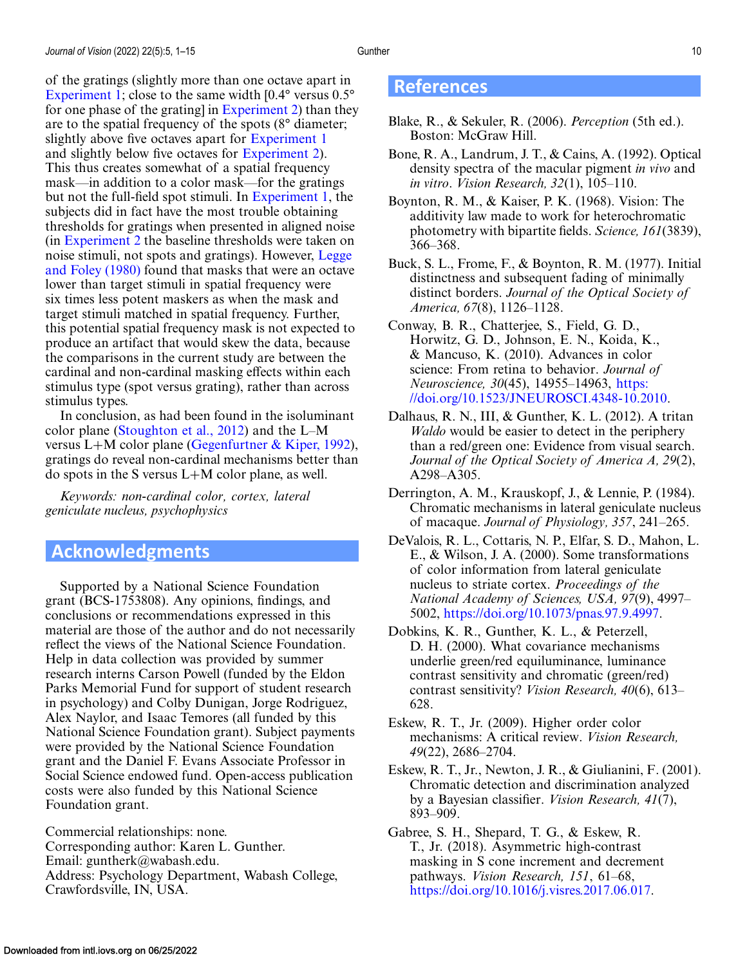<span id="page-9-0"></span>of the gratings (slightly more than one octave apart in [Experiment 1;](#page-3-0) close to the same width  $[0.4^{\circ}$  versus  $0.5^{\circ}$ for one phase of the grating] in [Experiment 2\)](#page-5-0) than they are to the spatial frequency of the spots (8° diameter; slightly above five octaves apart for [Experiment 1](#page-3-0) and slightly below five octaves for [Experiment 2\)](#page-5-0). This thus creates somewhat of a spatial frequency mask—in addition to a color mask—for the gratings but not the full-field spot stimuli. In [Experiment 1,](#page-3-0) the subjects did in fact have the most trouble obtaining thresholds for gratings when presented in aligned noise (in [Experiment 2](#page-5-0) the baseline thresholds were taken on [noise stimuli, not spots and gratings\). However,](#page-10-0) Legge and Foley (1980) found that masks that were an octave lower than target stimuli in spatial frequency were six times less potent maskers as when the mask and target stimuli matched in spatial frequency. Further, this potential spatial frequency mask is not expected to produce an artifact that would skew the data, because the comparisons in the current study are between the cardinal and non-cardinal masking effects within each stimulus type (spot versus grating), rather than across stimulus types.

In conclusion, as had been found in the isoluminant color plane [\(Stoughton et al., 2012\)](#page-10-0) and the L–M versus L+M color plane (Gegenfurtner  $\&$  Kiper, 1992), gratings do reveal non-cardinal mechanisms better than do spots in the S versus L+M color plane, as well.

*Keywords: non-cardinal color, cortex, lateral geniculate nucleus, psychophysics*

# **Acknowledgments**

Supported by a National Science Foundation grant (BCS-1753808). Any opinions, findings, and conclusions or recommendations expressed in this material are those of the author and do not necessarily reflect the views of the National Science Foundation. Help in data collection was provided by summer research interns Carson Powell (funded by the Eldon Parks Memorial Fund for support of student research in psychology) and Colby Dunigan, Jorge Rodriguez, Alex Naylor, and Isaac Temores (all funded by this National Science Foundation grant). Subject payments were provided by the National Science Foundation grant and the Daniel F. Evans Associate Professor in Social Science endowed fund. Open-access publication costs were also funded by this National Science Foundation grant.

Commercial relationships: none. Corresponding author: Karen L. Gunther. Email: guntherk@wabash.edu. Address: Psychology Department, Wabash College, Crawfordsville, IN, USA.

# **References**

- Blake, R., & Sekuler, R. (2006). *Perception* (5th ed.). Boston: McGraw Hill.
- Bone, R. A., Landrum, J. T., & Cains, A. (1992). Optical density spectra of the macular pigment *in vivo* and *in vitro*. *Vision Research, 32*(1), 105–110.
- Boynton, R. M., & Kaiser, P. K. (1968). Vision: The additivity law made to work for heterochromatic photometry with bipartite fields. *Science, 161*(3839), 366–368.
- Buck, S. L., Frome, F., & Boynton, R. M. (1977). Initial distinctness and subsequent fading of minimally distinct borders. *Journal of the Optical Society of America, 67*(8), 1126–1128.
- Conway, B. R., Chatterjee, S., Field, G. D., Horwitz, G. D., Johnson, E. N., Koida, K., & Mancuso, K. (2010). Advances in color science: From retina to behavior. *Journal of Neuroscience, 30*(45), 14955–14963, https: [//doi.org/10.1523/JNEUROSCI.4348-10.2010.](https://doi.org/10.1523/JNEUROSCI.4348-10.2010)
- Dalhaus, R. N., III, & Gunther, K. L. (2012). A tritan *Waldo* would be easier to detect in the periphery than a red/green one: Evidence from visual search. *Journal of the Optical Society of America A, 29*(2), A298–A305.
- Derrington, A. M., Krauskopf, J., & Lennie, P. (1984). Chromatic mechanisms in lateral geniculate nucleus of macaque. *Journal of Physiology, 357*, 241–265.
- DeValois, R. L., Cottaris, N. P., Elfar, S. D., Mahon, L. E., & Wilson, J. A. (2000). Some transformations of color information from lateral geniculate nucleus to striate cortex. *Proceedings of the National Academy of Sciences, USA, 97*(9), 4997– 5002, [https://doi.org/10.1073/pnas.97.9.4997.](https://doi.org/10.1073/pnas.97.9.4997)
- Dobkins, K. R., Gunther, K. L., & Peterzell, D. H. (2000). What covariance mechanisms underlie green/red equiluminance, luminance contrast sensitivity and chromatic (green/red) contrast sensitivity? *Vision Research, 40*(6), 613– 628.
- Eskew, R. T., Jr. (2009). Higher order color mechanisms: A critical review. *Vision Research, 49*(22), 2686–2704.
- Eskew, R. T., Jr., Newton, J. R., & Giulianini, F. (2001). Chromatic detection and discrimination analyzed by a Bayesian classifier. *Vision Research, 41*(7), 893–909.

Gabree, S. H., Shepard, T. G., & Eskew, R. T., Jr. (2018). Asymmetric high-contrast masking in S cone increment and decrement pathways. *Vision Research, 151*, 61–68, [https://doi.org/10.1016/j.visres.2017.06.017.](https://doi.org/10.1016/j.visres.2017.06.017)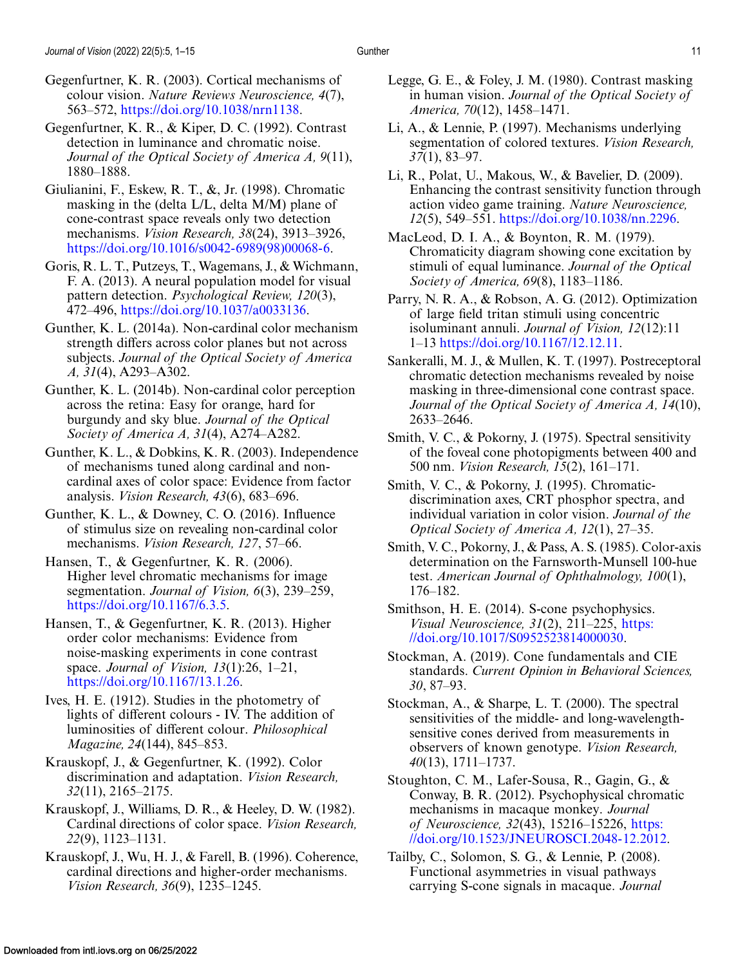<span id="page-10-0"></span>Gegenfurtner, K. R., & Kiper, D. C. (1992). Contrast detection in luminance and chromatic noise. *Journal of the Optical Society of America A, 9*(11), 1880–1888.

- Giulianini, F., Eskew, R. T., &, Jr. (1998). Chromatic masking in the (delta L/L, delta M/M) plane of cone-contrast space reveals only two detection mechanisms. *Vision Research, 38*(24), 3913–3926, [https://doi.org/10.1016/s0042-6989\(98\)00068-6.](https://doi.org/10.1016/s0042-6989(98)00068-6)
- Goris, R. L. T., Putzeys, T., Wagemans, J., & Wichmann, F. A. (2013). A neural population model for visual pattern detection. *Psychological Review, 120*(3), 472–496, [https://doi.org/10.1037/a0033136.](https://doi.org/10.1037/a0033136)
- Gunther, K. L. (2014a). Non-cardinal color mechanism strength differs across color planes but not across subjects. *Journal of the Optical Society of America A, 31*(4), A293–A302.
- Gunther, K. L. (2014b). Non-cardinal color perception across the retina: Easy for orange, hard for burgundy and sky blue. *Journal of the Optical Society of America A, 31*(4), A274–A282.
- Gunther, K. L., & Dobkins, K. R. (2003). Independence of mechanisms tuned along cardinal and noncardinal axes of color space: Evidence from factor analysis. *Vision Research, 43*(6), 683–696.
- Gunther, K. L., & Downey, C. O. (2016). Influence of stimulus size on revealing non-cardinal color mechanisms. *Vision Research, 127*, 57–66.
- Hansen, T., & Gegenfurtner, K. R. (2006). Higher level chromatic mechanisms for image segmentation. *Journal of Vision, 6*(3), 239–259, [https://doi.org/10.1167/6.3.5.](https://doi.org/10.1167/6.3.5)
- Hansen, T., & Gegenfurtner, K. R. (2013). Higher order color mechanisms: Evidence from noise-masking experiments in cone contrast space. *Journal of Vision, 13*(1):26, 1–21, [https://doi.org/10.1167/13.1.26.](https://doi.org/10.1167/13.1.26)
- Ives, H. E. (1912). Studies in the photometry of lights of different colours - IV. The addition of luminosities of different colour. *Philosophical Magazine, 24*(144), 845–853.
- Krauskopf, J., & Gegenfurtner, K. (1992). Color discrimination and adaptation. *Vision Research, 32*(11), 2165–2175.
- Krauskopf, J., Williams, D. R., & Heeley, D. W. (1982). Cardinal directions of color space. *Vision Research, 22*(9), 1123–1131.
- Krauskopf, J., Wu, H. J., & Farell, B. (1996). Coherence, cardinal directions and higher-order mechanisms. *Vision Research, 36*(9), 1235–1245.
- Legge, G. E., & Foley, J. M. (1980). Contrast masking in human vision. *Journal of the Optical Society of America, 70*(12), 1458–1471.
- Li, A., & Lennie, P. (1997). Mechanisms underlying segmentation of colored textures. *Vision Research, 37*(1), 83–97.
- Li, R., Polat, U., Makous, W., & Bavelier, D. (2009). Enhancing the contrast sensitivity function through action video game training. *Nature Neuroscience, 12*(5), 549–551. [https://doi.org/10.1038/nn.2296.](https://doi.org/10.1038/nn.2296)
- MacLeod, D. I. A., & Boynton, R. M. (1979). Chromaticity diagram showing cone excitation by stimuli of equal luminance. *Journal of the Optical Society of America, 69*(8), 1183–1186.
- Parry, N. R. A., & Robson, A. G. (2012). Optimization of large field tritan stimuli using concentric isoluminant annuli. *Journal of Vision, 12*(12):11 1–13 [https://doi.org/10.1167/12.12.11.](https://doi.org/10.1167/12.12.11)
- Sankeralli, M. J., & Mullen, K. T. (1997). Postreceptoral chromatic detection mechanisms revealed by noise masking in three-dimensional cone contrast space. *Journal of the Optical Society of America A, 14*(10), 2633–2646.
- Smith, V. C., & Pokorny, J. (1975). Spectral sensitivity of the foveal cone photopigments between 400 and 500 nm. *Vision Research, 15*(2), 161–171.
- Smith, V. C., & Pokorny, J. (1995). Chromaticdiscrimination axes, CRT phosphor spectra, and individual variation in color vision. *Journal of the Optical Society of America A, 12*(1), 27–35.
- Smith, V. C., Pokorny, J., & Pass, A. S. (1985). Color-axis determination on the Farnsworth-Munsell 100-hue test. *American Journal of Ophthalmology, 100*(1), 176–182.
- Smithson, H. E. (2014). S-cone psychophysics. *Visual Neuroscience, 31*(2), 211–225, https: [//doi.org/10.1017/S0952523814000030.](https://doi.org/10.1017/S0952523814000030)
- Stockman, A. (2019). Cone fundamentals and CIE standards. *Current Opinion in Behavioral Sciences, 30*, 87–93.
- Stockman, A., & Sharpe, L. T. (2000). The spectral sensitivities of the middle- and long-wavelengthsensitive cones derived from measurements in observers of known genotype. *Vision Research, 40*(13), 1711–1737.
- Stoughton, C. M., Lafer-Sousa, R., Gagin, G., & Conway, B. R. (2012). Psychophysical chromatic mechanisms in macaque monkey. *Journal of Neuroscience, 32*(43), 15216–15226, https: [//doi.org/10.1523/JNEUROSCI.2048-12.2012.](https://doi.org/10.1523/JNEUROSCI.2048-12.2012)
- Tailby, C., Solomon, S. G., & Lennie, P. (2008). Functional asymmetries in visual pathways carrying S-cone signals in macaque. *Journal*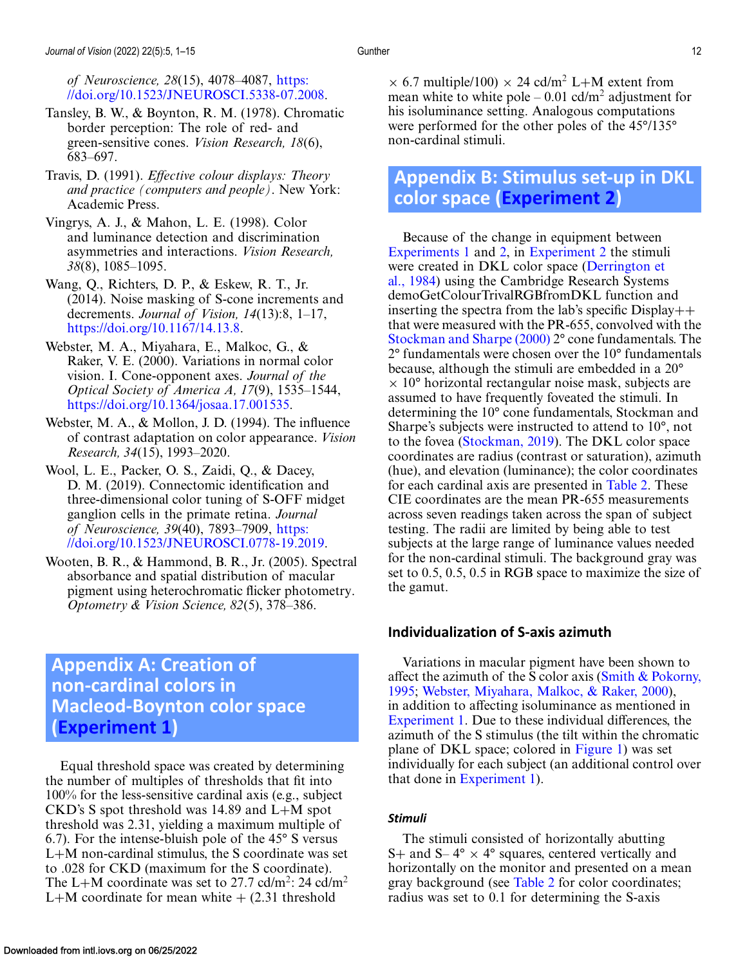<span id="page-11-0"></span>*of Neuroscience, 28*(15), 4078–4087, https: [//doi.org/10.1523/JNEUROSCI.5338-07.2008.](https://doi.org/10.1523/JNEUROSCI.5338-07.2008)

- Tansley, B. W., & Boynton, R. M. (1978). Chromatic border perception: The role of red- and green-sensitive cones. *Vision Research, 18*(6), 683–697.
- Travis, D. (1991). *Effective colour displays: Theory and practice (computers and people)*. New York: Academic Press.
- Vingrys, A. J., & Mahon, L. E. (1998). Color and luminance detection and discrimination asymmetries and interactions. *Vision Research, 38*(8), 1085–1095.
- Wang, Q., Richters, D. P., & Eskew, R. T., Jr. (2014). Noise masking of S-cone increments and decrements. *Journal of Vision, 14*(13):8, 1–17, [https://doi.org/10.1167/14.13.8.](https://doi.org/10.1167/14.13.8)
- Webster, M. A., Miyahara, E., Malkoc, G., & Raker, V. E. (2000). Variations in normal color vision. I. Cone-opponent axes. *Journal of the Optical Society of America A, 17*(9), 1535–1544, [https://doi.org/10.1364/josaa.17.001535.](https://doi.org/10.1364/josaa.17.001535)
- Webster, M. A., & Mollon, J. D. (1994). The influence of contrast adaptation on color appearance. *Vision Research, 34*(15), 1993–2020.
- Wool, L. E., Packer, O. S., Zaidi, Q., & Dacey, D. M. (2019). Connectomic identification and three-dimensional color tuning of S-OFF midget ganglion cells in the primate retina. *Journal of Neuroscience, 39*(40), 7893–7909, https: [//doi.org/10.1523/JNEUROSCI.0778-19.2019.](https://doi.org/10.1523/JNEUROSCI.0778-19.2019)
- Wooten, B. R., & Hammond, B. R., Jr. (2005). Spectral absorbance and spatial distribution of macular pigment using heterochromatic flicker photometry. *Optometry & Vision Science, 82*(5), 378–386.

# **Appendix A: Creation of non-cardinal colors in Macleod-Boynton color space [\(Experiment 1\)](#page-3-0)**

Equal threshold space was created by determining the number of multiples of thresholds that fit into 100% for the less-sensitive cardinal axis (e.g., subject CKD's S spot threshold was 14.89 and L+M spot threshold was 2.31, yielding a maximum multiple of 6.7). For the intense-bluish pole of the 45° S versus L+M non-cardinal stimulus, the S coordinate was set to .028 for CKD (maximum for the S coordinate). The L+M coordinate was set to 27.7 cd/m<sup>2</sup>: 24 cd/m<sup>2</sup> L+M coordinate for mean white  $+$  (2.31 threshold

 $\times$  6.7 multiple/100)  $\times$  24 cd/m<sup>2</sup> L+M extent from mean white to white pole  $-0.01$  cd/m<sup>2</sup> adjustment for his isoluminance setting. Analogous computations were performed for the other poles of the 45°/135° non-cardinal stimuli.

# **Appendix B: Stimulus set-up in DKL color space [\(Experiment 2\)](#page-5-0)**

Because of the change in equipment between [Experiments 1](#page-3-0) and [2,](#page-5-0) in [Experiment 2](#page-5-0) the stimuli were created in DKL color space (Derrington et [al., 1984\) using the Cambridge Research Systems](#page-9-0) demoGetColourTrivalRGBfromDKL function and inserting the spectra from the lab's specific  $Display++$ that were measured with the PR-655, convolved with the [Stockman and Sharpe \(2000\)](#page-10-0) 2° cone fundamentals. The 2° fundamentals were chosen over the 10° fundamentals because, although the stimuli are embedded in a 20°  $\times$  10 $\degree$  horizontal rectangular noise mask, subjects are assumed to have frequently foveated the stimuli. In determining the 10° cone fundamentals, Stockman and Sharpe's subjects were instructed to attend to 10°, not to the fovea [\(Stockman, 2019\)](#page-10-0). The DKL color space coordinates are radius (contrast or saturation), azimuth (hue), and elevation (luminance); the color coordinates for each cardinal axis are presented in [Table 2.](#page-12-0) These CIE coordinates are the mean PR-655 measurements across seven readings taken across the span of subject testing. The radii are limited by being able to test subjects at the large range of luminance values needed for the non-cardinal stimuli. The background gray was set to 0.5, 0.5, 0.5 in RGB space to maximize the size of the gamut.

# **Individualization of S-axis azimuth**

Variations in macular pigment have been shown to affect the azimuth of the S color axis (Smith  $&$  Pokorny, 1995; Webster, Miyahara, Malkoc, & Raker, 2000), in addition to affecting isoluminance as mentioned in [Experiment 1.](#page-3-0) Due to these individual differences, the azimuth of the S stimulus (the tilt within the chromatic plane of DKL space; colored in [Figure 1\)](#page-1-0) was set individually for each subject (an additional control over that done in [Experiment 1\)](#page-3-0).

#### *Stimuli*

The stimuli consisted of horizontally abutting S+ and S–  $4^{\circ} \times 4^{\circ}$  squares, centered vertically and horizontally on the monitor and presented on a mean gray background (see [Table 2](#page-12-0) for color coordinates; radius was set to 0.1 for determining the S-axis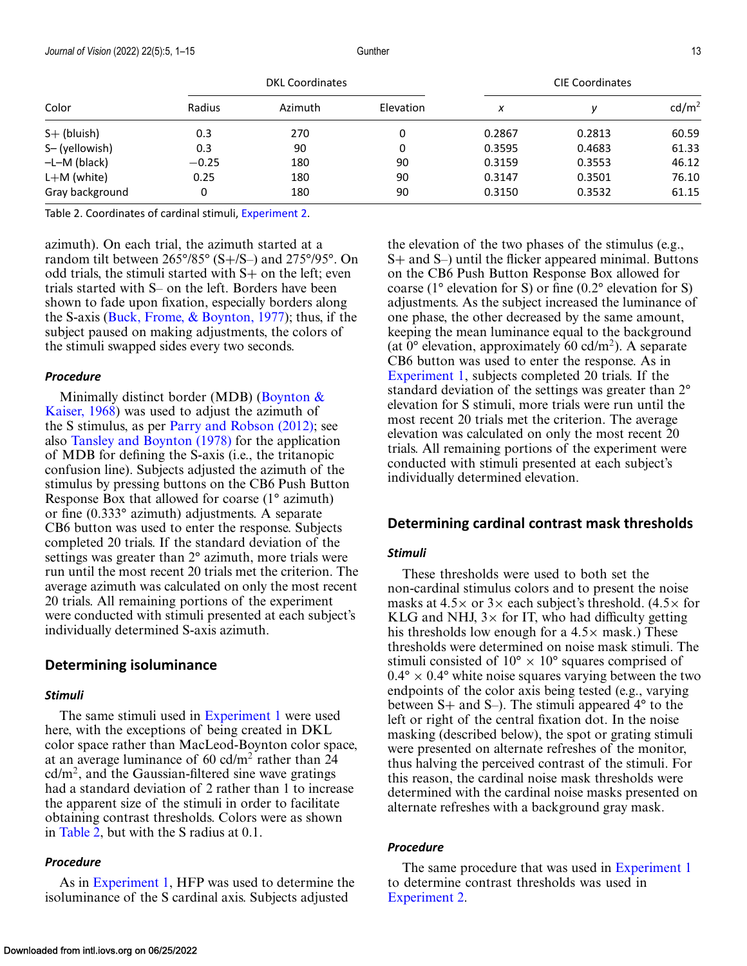<span id="page-12-0"></span>

| Color           | <b>DKL Coordinates</b> |         |           | <b>CIE Coordinates</b> |        |                   |
|-----------------|------------------------|---------|-----------|------------------------|--------|-------------------|
|                 | Radius                 | Azimuth | Elevation | x                      |        | cd/m <sup>2</sup> |
| $S+$ (bluish)   | 0.3                    | 270     | 0         | 0.2867                 | 0.2813 | 60.59             |
| S-(yellowish)   | 0.3                    | 90      | 0         | 0.3595                 | 0.4683 | 61.33             |
| $-L-M$ (black)  | $-0.25$                | 180     | 90        | 0.3159                 | 0.3553 | 46.12             |
| $L+M$ (white)   | 0.25                   | 180     | 90        | 0.3147                 | 0.3501 | 76.10             |
| Gray background | 0                      | 180     | 90        | 0.3150                 | 0.3532 | 61.15             |

Table 2. Coordinates of cardinal stimuli, [Experiment 2.](#page-5-0)

azimuth). On each trial, the azimuth started at a random tilt between 265°/85° (S+/S–) and 275°/95°. On odd trials, the stimuli started with S+ on the left; even trials started with S– on the left. Borders have been shown to fade upon fixation, especially borders along the S-axis (Buck, Frome,  $\&$  Boynton, 1977); thus, if the subject paused on making adjustments, the colors of the stimuli swapped sides every two seconds.

#### *Procedure*

Minimally distinct border (MDB) (Boynton  $\&$ [Kaiser, 1968\) was used to adjust the azimuth of](#page-9-0) the S stimulus, as per [Parry and Robson \(2012\);](#page-10-0) see also [Tansley and Boynton \(1978\)](#page-11-0) for the application of MDB for defining the S-axis (i.e., the tritanopic confusion line). Subjects adjusted the azimuth of the stimulus by pressing buttons on the CB6 Push Button Response Box that allowed for coarse (1° azimuth) or fine (0.333° azimuth) adjustments. A separate CB6 button was used to enter the response. Subjects completed 20 trials. If the standard deviation of the settings was greater than 2° azimuth, more trials were run until the most recent 20 trials met the criterion. The average azimuth was calculated on only the most recent 20 trials. All remaining portions of the experiment were conducted with stimuli presented at each subject's individually determined S-axis azimuth.

#### **Determining isoluminance**

#### *Stimuli*

The same stimuli used in [Experiment 1](#page-3-0) were used here, with the exceptions of being created in DKL color space rather than MacLeod-Boynton color space, at an average luminance of  $60 \text{ cd/m}^2$  rather than 24  $cd/m<sup>2</sup>$ , and the Gaussian-filtered sine wave gratings had a standard deviation of 2 rather than 1 to increase the apparent size of the stimuli in order to facilitate obtaining contrast thresholds. Colors were as shown in Table 2, but with the S radius at 0.1.

#### *Procedure*

As in [Experiment 1,](#page-3-0) HFP was used to determine the isoluminance of the S cardinal axis. Subjects adjusted

the elevation of the two phases of the stimulus (e.g., S+ and S–) until the flicker appeared minimal. Buttons on the CB6 Push Button Response Box allowed for coarse ( $1^{\circ}$  elevation for S) or fine (0.2° elevation for S) adjustments. As the subject increased the luminance of one phase, the other decreased by the same amount, keeping the mean luminance equal to the background (at  $0^{\circ}$  elevation, approximately 60 cd/m<sup>2</sup>). A separate CB6 button was used to enter the response. As in [Experiment 1,](#page-3-0) subjects completed 20 trials. If the standard deviation of the settings was greater than 2° elevation for S stimuli, more trials were run until the most recent 20 trials met the criterion. The average elevation was calculated on only the most recent 20 trials. All remaining portions of the experiment were conducted with stimuli presented at each subject's individually determined elevation.

### **Determining cardinal contrast mask thresholds**

#### *Stimuli*

These thresholds were used to both set the non-cardinal stimulus colors and to present the noise masks at  $4.5\times$  or  $3\times$  each subject's threshold. (4.5 $\times$  for KLG and NHJ,  $3\times$  for IT, who had difficulty getting his thresholds low enough for a  $4.5\times$  mask.) These thresholds were determined on noise mask stimuli. The stimuli consisted of  $10^{\circ} \times 10^{\circ}$  squares comprised of  $0.4^{\circ} \times 0.4^{\circ}$  white noise squares varying between the two endpoints of the color axis being tested (e.g., varying between S+ and S–). The stimuli appeared 4° to the left or right of the central fixation dot. In the noise masking (described below), the spot or grating stimuli were presented on alternate refreshes of the monitor, thus halving the perceived contrast of the stimuli. For this reason, the cardinal noise mask thresholds were determined with the cardinal noise masks presented on alternate refreshes with a background gray mask.

#### *Procedure*

The same procedure that was used in [Experiment 1](#page-3-0) to determine contrast thresholds was used in [Experiment 2.](#page-5-0)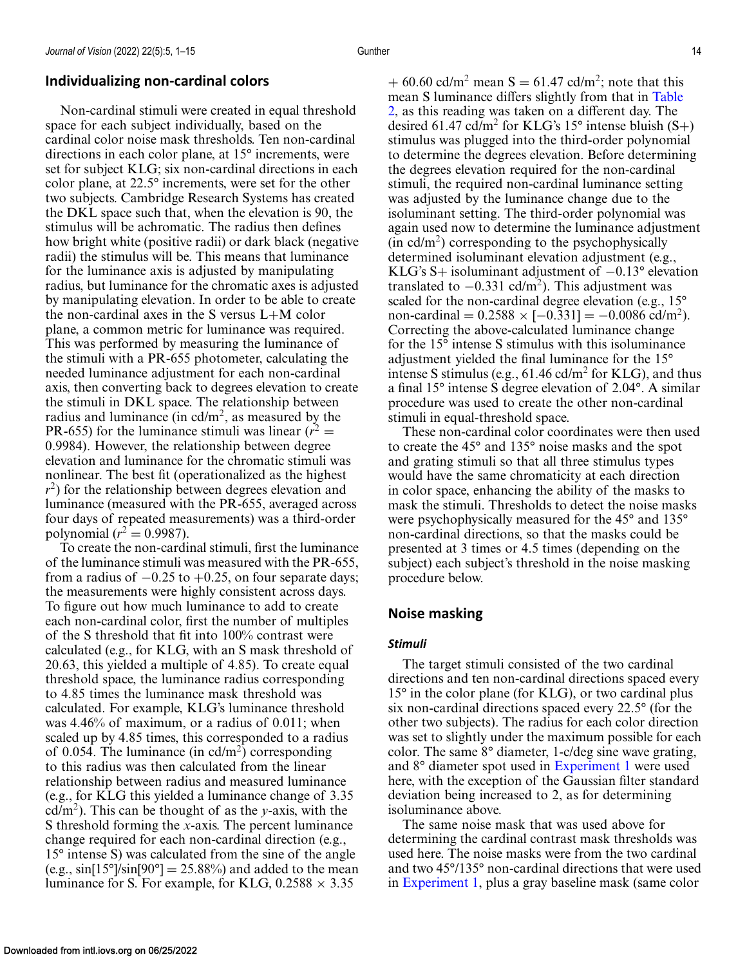# **Individualizing non-cardinal colors**

Non-cardinal stimuli were created in equal threshold space for each subject individually, based on the cardinal color noise mask thresholds. Ten non-cardinal directions in each color plane, at 15° increments, were set for subject KLG; six non-cardinal directions in each color plane, at 22.5° increments, were set for the other two subjects. Cambridge Research Systems has created the DKL space such that, when the elevation is 90, the stimulus will be achromatic. The radius then defines how bright white (positive radii) or dark black (negative radii) the stimulus will be. This means that luminance for the luminance axis is adjusted by manipulating radius, but luminance for the chromatic axes is adjusted by manipulating elevation. In order to be able to create the non-cardinal axes in the S versus L+M color plane, a common metric for luminance was required. This was performed by measuring the luminance of the stimuli with a PR-655 photometer, calculating the needed luminance adjustment for each non-cardinal axis, then converting back to degrees elevation to create the stimuli in DKL space. The relationship between radius and luminance (in  $\text{cd/m}^2$ , as measured by the PR-655) for the luminance stimuli was linear  $(r^2 =$ 0.9984). However, the relationship between degree elevation and luminance for the chromatic stimuli was nonlinear. The best fit (operationalized as the highest *r*<sup>2</sup>) for the relationship between degrees elevation and luminance (measured with the PR-655, averaged across four days of repeated measurements) was a third-order polynomial ( $r^2 = 0.9987$ ).

To create the non-cardinal stimuli, first the luminance of the luminance stimuli was measured with the PR-655, from a radius of  $-0.25$  to  $+0.25$ , on four separate days; the measurements were highly consistent across days. To figure out how much luminance to add to create each non-cardinal color, first the number of multiples of the S threshold that fit into 100% contrast were calculated (e.g., for KLG, with an S mask threshold of 20.63, this yielded a multiple of 4.85). To create equal threshold space, the luminance radius corresponding to 4.85 times the luminance mask threshold was calculated. For example, KLG's luminance threshold was 4.46% of maximum, or a radius of 0.011; when scaled up by 4.85 times, this corresponded to a radius of 0.054. The luminance (in  $\text{cd/m}^2$ ) corresponding to this radius was then calculated from the linear relationship between radius and measured luminance (e.g., for KLG this yielded a luminance change of 3.35 cd/m<sup>2</sup>). This can be thought of as the *y*-axis, with the S threshold forming the *x*-axis. The percent luminance change required for each non-cardinal direction (e.g., 15° intense S) was calculated from the sine of the angle (e.g.,  $\sin[15^\circ]\sin[90^\circ] = 25.88\%$ ) and added to the mean luminance for S. For example, for KLG,  $0.2588 \times 3.35$ 

+ 60.60 cd/m<sup>2</sup> mean S = 61.47 cd/m<sup>2</sup>; note that this mean S luminance differs slightly from that in Table [2, as this reading was taken on a different day. The](#page-12-0) desired 61.47 cd/m<sup>2</sup> for KLG's 15° intense bluish  $(S+)$ stimulus was plugged into the third-order polynomial to determine the degrees elevation. Before determining the degrees elevation required for the non-cardinal stimuli, the required non-cardinal luminance setting was adjusted by the luminance change due to the isoluminant setting. The third-order polynomial was again used now to determine the luminance adjustment  $(in \text{ }cd/m^2)$  corresponding to the psychophysically determined isoluminant elevation adjustment (e.g., KLG's S+ isoluminant adjustment of −0.13° elevation translated to  $-0.331$  cd/m<sup>2</sup>). This adjustment was scaled for the non-cardinal degree elevation (e.g., 15° non-cardinal =  $0.2588 \times [-0.331] = -0.0086$  cd/m<sup>2</sup>). Correcting the above-calculated luminance change for the 15° intense S stimulus with this isoluminance adjustment yielded the final luminance for the 15° intense S stimulus (e.g.,  $61.46$  cd/m<sup>2</sup> for KLG), and thus a final 15° intense S degree elevation of 2.04°. A similar procedure was used to create the other non-cardinal stimuli in equal-threshold space.

These non-cardinal color coordinates were then used to create the 45° and 135° noise masks and the spot and grating stimuli so that all three stimulus types would have the same chromaticity at each direction in color space, enhancing the ability of the masks to mask the stimuli. Thresholds to detect the noise masks were psychophysically measured for the 45° and 135° non-cardinal directions, so that the masks could be presented at 3 times or 4.5 times (depending on the subject) each subject's threshold in the noise masking procedure below.

# **Noise masking**

### *Stimuli*

The target stimuli consisted of the two cardinal directions and ten non-cardinal directions spaced every 15° in the color plane (for KLG), or two cardinal plus six non-cardinal directions spaced every 22.5° (for the other two subjects). The radius for each color direction was set to slightly under the maximum possible for each color. The same 8° diameter, 1-c/deg sine wave grating, and 8° diameter spot used in [Experiment 1](#page-3-0) were used here, with the exception of the Gaussian filter standard deviation being increased to 2, as for determining isoluminance above.

The same noise mask that was used above for determining the cardinal contrast mask thresholds was used here. The noise masks were from the two cardinal and two 45°/135° non-cardinal directions that were used in [Experiment 1,](#page-3-0) plus a gray baseline mask (same color